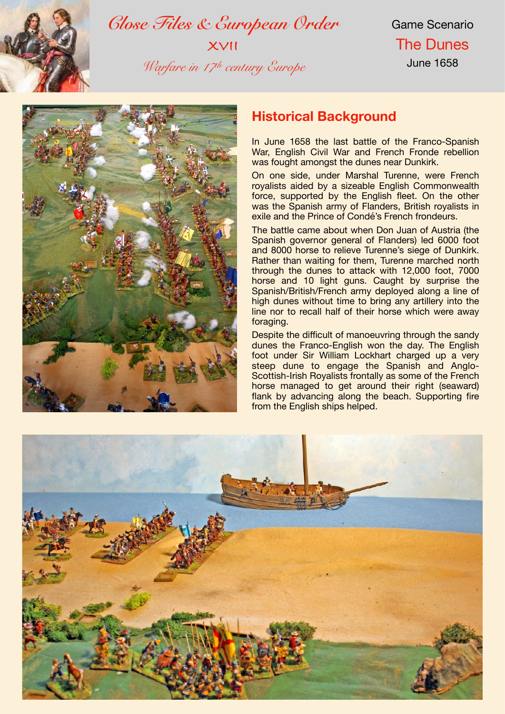

*Close Files & European Order* **XVII** *Warfare in 17th century Europe*

Game Scenario The Dunes June 1658



## **Historical Background**

In June 1658 the last battle of the Franco-Spanish War, English Civil War and French Fronde rebellion was fought amongst the dunes near Dunkirk.

On one side, under Marshal Turenne, were French royalists aided by a sizeable English Commonwealth force, supported by the English fleet. On the other was the Spanish army of Flanders, British royalists in exile and the Prince of Condé's French frondeurs.

The battle came about when Don Juan of Austria (the Spanish governor general of Flanders) led 6000 foot and 8000 horse to relieve Turenne's siege of Dunkirk. Rather than waiting for them, Turenne marched north through the dunes to attack with 12,000 foot, 7000 horse and 10 light guns. Caught by surprise the Spanish/British/French army deployed along a line of high dunes without time to bring any artillery into the line nor to recall half of their horse which were away foraging.

Despite the difficult of manoeuvring through the sandy dunes the Franco-English won the day. The English foot under Sir William Lockhart charged up a very steep dune to engage the Spanish and Anglo-Scottish-Irish Royalists frontally as some of the French horse managed to get around their right (seaward) flank by advancing along the beach. Supporting fire from the English ships helped.

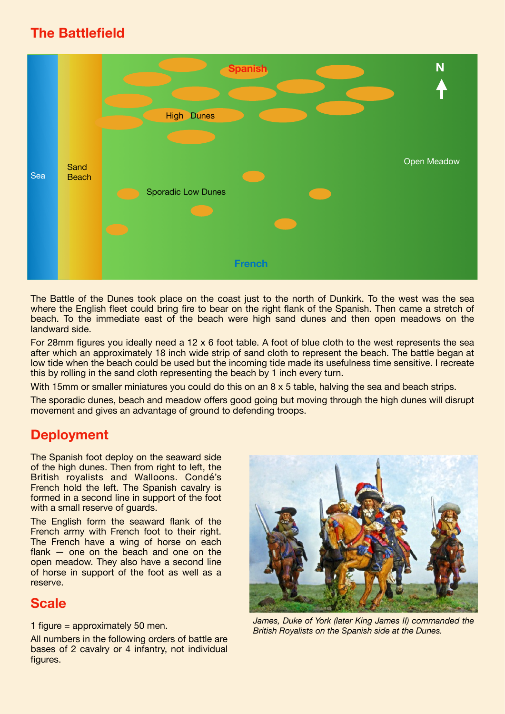## **The Battlefield**



The Battle of the Dunes took place on the coast just to the north of Dunkirk. To the west was the sea where the English fleet could bring fire to bear on the right flank of the Spanish. Then came a stretch of beach. To the immediate east of the beach were high sand dunes and then open meadows on the landward side.

For 28mm figures you ideally need a 12 x 6 foot table. A foot of blue cloth to the west represents the sea after which an approximately 18 inch wide strip of sand cloth to represent the beach. The battle began at low tide when the beach could be used but the incoming tide made its usefulness time sensitive. I recreate this by rolling in the sand cloth representing the beach by 1 inch every turn.

With 15mm or smaller miniatures you could do this on an 8 x 5 table, halving the sea and beach strips.

The sporadic dunes, beach and meadow offers good going but moving through the high dunes will disrupt movement and gives an advantage of ground to defending troops.

### **Deployment**

The Spanish foot deploy on the seaward side of the high dunes. Then from right to left, the British royalists and Walloons. Condé's French hold the left. The Spanish cavalry is formed in a second line in support of the foot with a small reserve of guards.

The English form the seaward flank of the French army with French foot to their right. The French have a wing of horse on each flank — one on the beach and one on the open meadow. They also have a second line of horse in support of the foot as well as a reserve.

### **Scale**

All numbers in the following orders of battle are bases of 2 cavalry or 4 infantry, not individual figures.



*James, Duke of York (later King James II) commanded the British Royalists on the Spanish side at the Dunes.* 1 figure = approximately 50 men.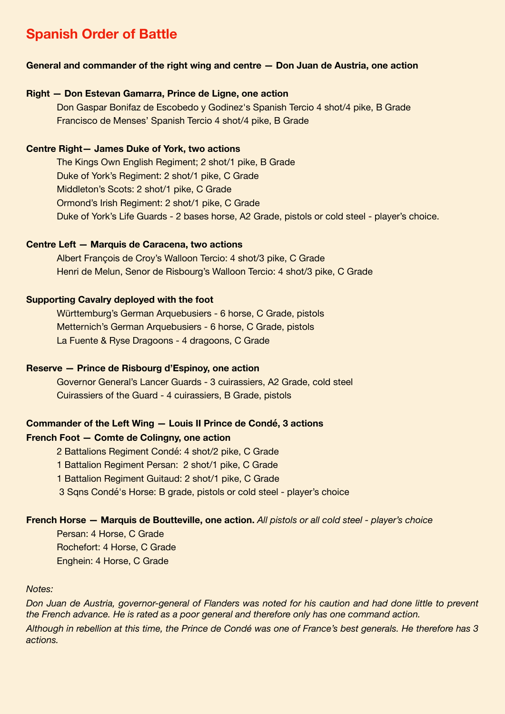# **Spanish Order of Battle**

#### **General and commander of the right wing and centre — Don Juan de Austria, one action**

#### **Right — Don Estevan Gamarra, Prince de Ligne, one action**

Don Gaspar Bonifaz de Escobedo y Godinez's Spanish Tercio 4 shot/4 pike, B Grade Francisco de Menses' Spanish Tercio 4 shot/4 pike, B Grade

#### **Centre Right— James Duke of York, two actions**

The Kings Own English Regiment; 2 shot/1 pike, B Grade Duke of York's Regiment: 2 shot/1 pike, C Grade Middleton's Scots: 2 shot/1 pike, C Grade Ormond's Irish Regiment: 2 shot/1 pike, C Grade Duke of York's Life Guards - 2 bases horse, A2 Grade, pistols or cold steel - player's choice.

#### **Centre Left — Marquis de Caracena, two actions**

Albert François de Croy's Walloon Tercio: 4 shot/3 pike, C Grade Henri de Melun, Senor de Risbourg's Walloon Tercio: 4 shot/3 pike, C Grade

#### **Supporting Cavalry deployed with the foot**

Württemburg's German Arquebusiers - 6 horse, C Grade, pistols Metternich's German Arquebusiers - 6 horse, C Grade, pistols La Fuente & Ryse Dragoons - 4 dragoons, C Grade

#### **Reserve — Prince de Risbourg d'Espinoy, one action**

Governor General's Lancer Guards - 3 cuirassiers, A2 Grade, cold steel Cuirassiers of the Guard - 4 cuirassiers, B Grade, pistols

#### **Commander of the Left Wing — Louis II Prince de Condé, 3 actions**

#### **French Foot — Comte de Colingny, one action**

2 Battalions Regiment Condé: 4 shot/2 pike, C Grade

- 1 Battalion Regiment Persan: 2 shot/1 pike, C Grade
- 1 Battalion Regiment Guitaud: 2 shot/1 pike, C Grade

3 Sqns Condé's Horse: B grade, pistols or cold steel - player's choice

#### **French Horse — Marquis de Boutteville, one action.** *All pistols or all cold steel - player's choice*

Persan: 4 Horse, C Grade Rochefort: 4 Horse, C Grade Enghein: 4 Horse, C Grade

#### *Notes:*

*Don Juan de Austria, governor-general of Flanders was noted for his caution and had done little to prevent the French advance. He is rated as a poor general and therefore only has one command action. Although in rebellion at this time, the Prince de Condé was one of France's best generals. He therefore has 3 actions.*